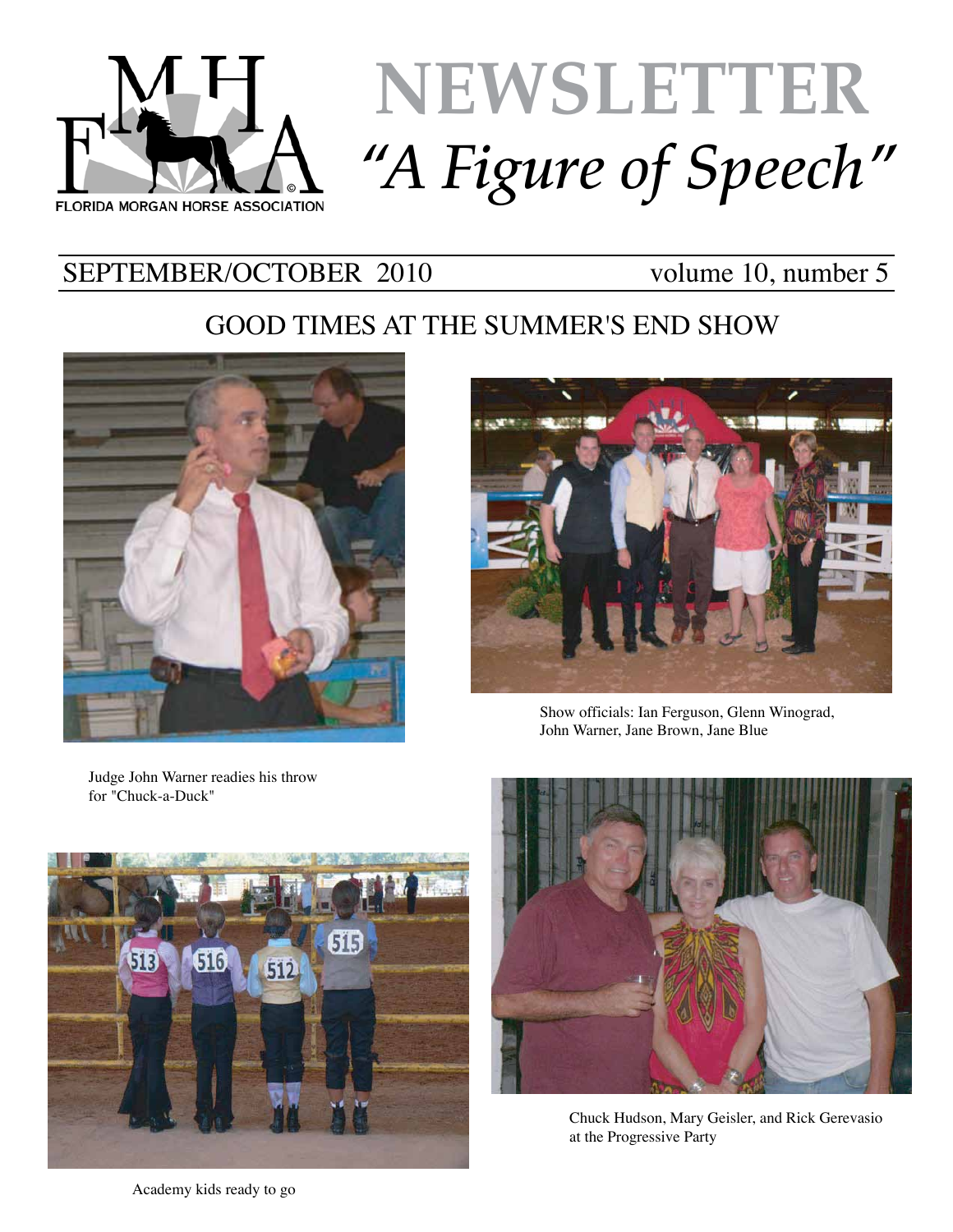

# **NEWSLETTER** *"A Figure of Speech"*

# SEPTEMBER/OCTOBER 2010 volume 10, number 5

# GOOD TIMES AT THE SUMMER'S END SHOW





Show officials: Ian Ferguson, Glenn Winograd, John Warner, Jane Brown, Jane Blue

Judge John Warner readies his throw for "Chuck-a-Duck"





Chuck Hudson, Mary Geisler, and Rick Gerevasio at the Progressive Party

Academy kids ready to go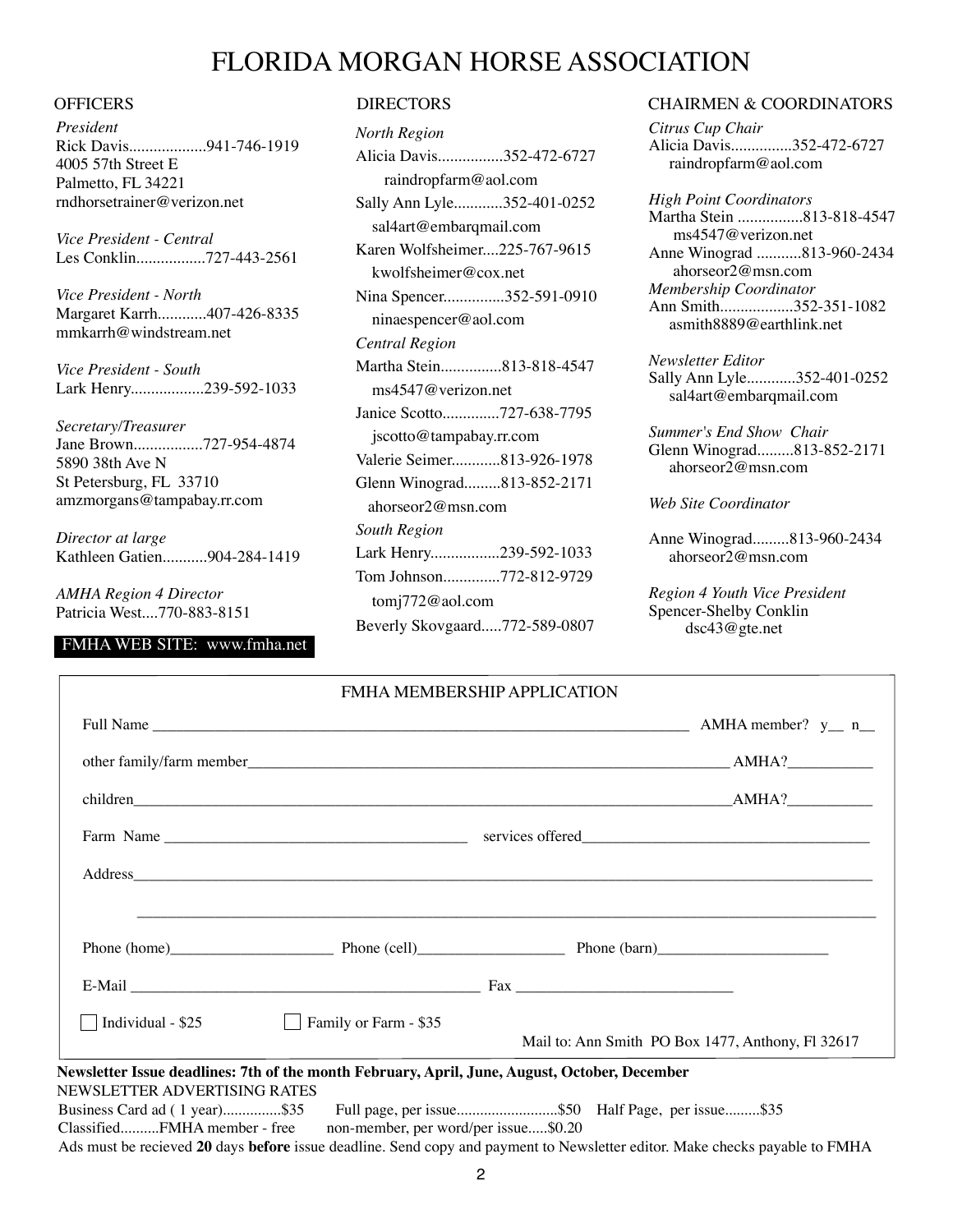## FLORIDA MORGAN HORSE ASSOCIATION

*President* Rick Davis...................941-746-1919 4005 57th Street E Palmetto, FL 34221 rndhorsetrainer@verizon.net

*Vice President - Central* Les Conklin.................727-443-2561

*Vice President - North* Margaret Karrh............407-426-8335 mmkarrh@windstream.net

*Vice President - South* Lark Henry..................239-592-1033

*Secretary/Treasurer* Jane Brown.................727-954-4874 5890 38th Ave N St Petersburg, FL 33710 amzmorgans@tampabay.rr.com

*Director at large* Kathleen Gatien...........904-284-1419

*AMHA Region 4 Director* Patricia West....770-883-8151

### FMHA WEB SITE: www.fmha.net

| <b>North Region</b>           |
|-------------------------------|
| Alicia Davis352-472-6727      |
| raindropfarm@aol.com          |
| Sally Ann Lyle352-401-0252    |
| sal4art@embarqmail.com        |
| Karen Wolfsheimer225-767-9615 |
| kwolfsheimer@cox.net          |
| Nina Spencer352-591-0910      |
| ninaespencer@aol.com          |
| Central Region                |
| Martha Stein813-818-4547      |
| ms4547@verizon.net            |
| Janice Scotto727-638-7795     |
| jscotto@tampabay.rr.com       |
| Valerie Seimer813-926-1978    |
| Glenn Winograd813-852-2171    |
| ahorseor $2@$ msn.com         |
| <b>South Region</b>           |
| Lark Henry239-592-1033        |
| Tom Johnson772-812-9729       |
| tomj772@aol.com               |
| Beverly Skovgaard772-589-0807 |

#### OFFICERS DIRECTORS DIRECTORS CHAIRMEN & COORDINATORS

*Citrus Cup Chair* Alicia Davis...............352-472-6727 raindropfarm@aol.com

*High Point Coordinators* Martha Stein ................813-818-4547 ms4547@verizon.net Anne Winograd ...........813-960-2434 ahorseor2@msn.com *Membership Coordinator* Ann Smith..................352-351-1082 asmith8889@earthlink.net

*Newsletter Editor* Sally Ann Lyle............352-401-0252 sal4art@embarqmail.com

*Summer's End Show Chair* Glenn Winograd.........813-852-2171 ahorseor2@msn.com

*Web Site Coordinator*

Anne Winograd.........813-960-2434 ahorseor2@msn.com

*Region 4 Youth Vice President* Spencer-Shelby Conklin dsc43@gte.net

|                                         | FMHA MEMBERSHIP APPLICATION          |                                                                                                                             |
|-----------------------------------------|--------------------------------------|-----------------------------------------------------------------------------------------------------------------------------|
|                                         |                                      |                                                                                                                             |
|                                         |                                      |                                                                                                                             |
|                                         |                                      |                                                                                                                             |
|                                         |                                      |                                                                                                                             |
|                                         |                                      |                                                                                                                             |
|                                         |                                      | Phone (home) Phone (cell) Phone (cell) Phone (barn)                                                                         |
|                                         |                                      |                                                                                                                             |
| Individual - $$25$<br>$\vert \ \ \vert$ | $\Box$ Family or Farm - \$35         | Mail to: Ann Smith PO Box 1477, Anthony, Fl 32617                                                                           |
| NEWSLETTER ADVERTISING RATES            |                                      | Newsletter Issue deadlines: 7th of the month February, April, June, August, October, December                               |
|                                         |                                      | Business Card ad (1 year)\$35 Full page, per issue\$50 Half Page, per issue\$35                                             |
| ClassifiedFMHA member - free            | non-member, per word/per issue\$0.20 |                                                                                                                             |
|                                         |                                      | Ads must be recieved 20 days before issue deadline. Send copy and payment to Newsletter editor. Make checks payable to FMHA |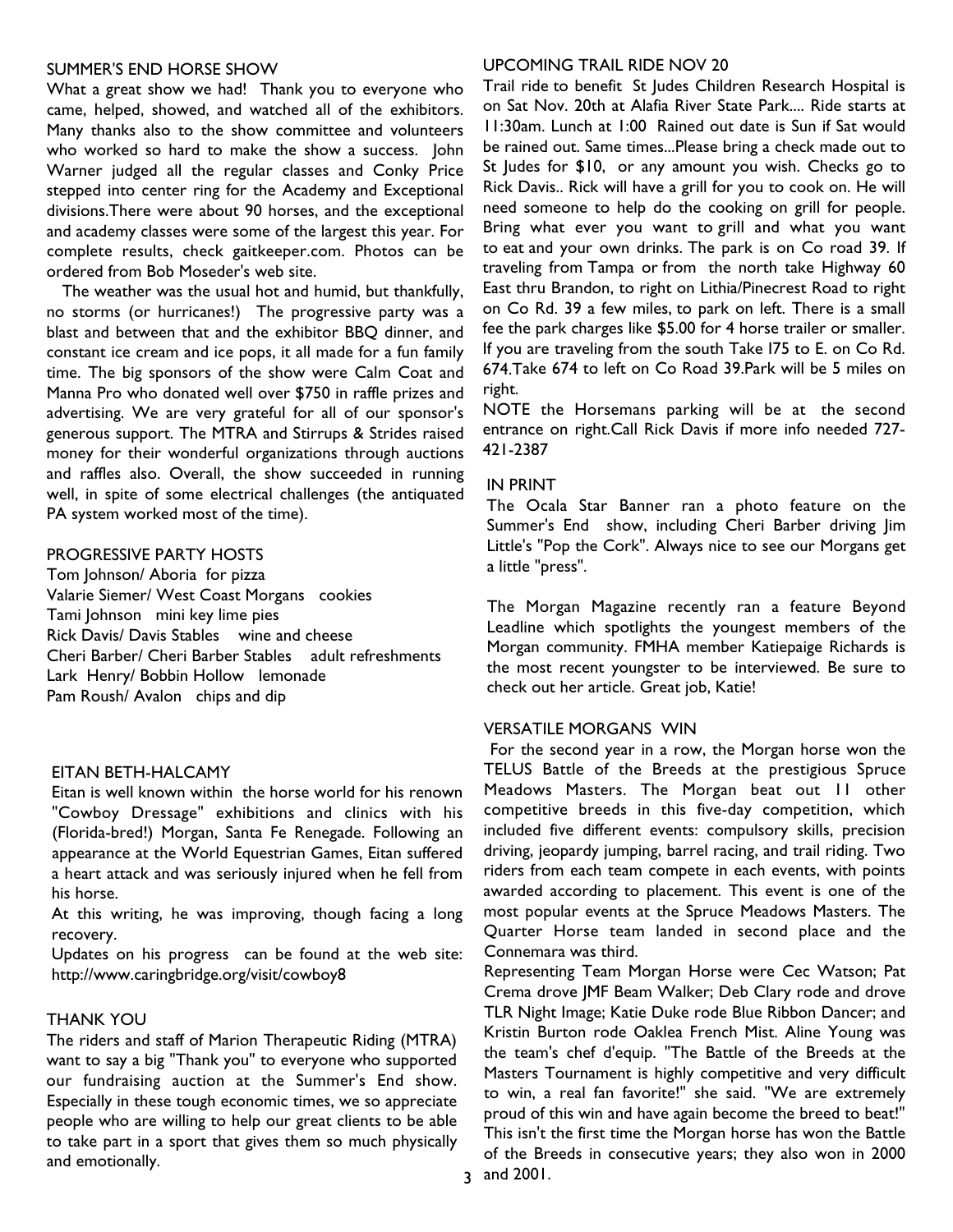#### SUMMER'S END HORSE SHOW

What a great show we had! Thank you to everyone who came, helped, showed, and watched all of the exhibitors. Many thanks also to the show committee and volunteers who worked so hard to make the show a success. John Warner judged all the regular classes and Conky Price stepped into center ring for the Academy and Exceptional divisions.There were about 90 horses, and the exceptional and academy classes were some of the largest this year. For complete results, check gaitkeeper.com. Photos can be ordered from Bob Moseder's web site.

The weather was the usual hot and humid, but thankfully, no storms (or hurricanes!) The progressive party was a blast and between that and the exhibitor BBQ dinner, and constant ice cream and ice pops, it all made for a fun family time. The big sponsors of the show were Calm Coat and Manna Pro who donated well over \$750 in raffle prizes and advertising. We are very grateful for all of our sponsor's generous support. The MTRA and Stirrups & Strides raised money for their wonderful organizations through auctions and raffles also. Overall, the show succeeded in running well, in spite of some electrical challenges (the antiquated PA system worked most of the time).

#### PROGRESSIVE PARTY HOSTS

Tom Johnson/ Aboria for pizza Valarie Siemer/ West Coast Morgans cookies Tami Johnson mini key lime pies Rick Davis/ Davis Stables wine and cheese Cheri Barber/ Cheri Barber Stables adult refreshments Lark Henry/ Bobbin Hollow lemonade Pam Roush/ Avalon chips and dip

#### EITAN BETH-HALCAMY

Eitan is well known within the horse world for his renown "Cowboy Dressage" exhibitions and clinics with his (Florida-bred!) Morgan, Santa Fe Renegade. Following an appearance at the World Equestrian Games, Eitan suffered a heart attack and was seriously injured when he fell from his horse.

At this writing, he was improving, though facing a long recovery.

Updates on his progress can be found at the web site: http://www.caringbridge.org/visit/cowboy8

#### THANK YOU

The riders and staff of Marion Therapeutic Riding (MTRA) want to say a big "Thank you" to everyone who supported our fundraising auction at the Summer's End show. Especially in these tough economic times, we so appreciate people who are willing to help our great clients to be able to take part in a sport that gives them so much physically and emotionally.

#### UPCOMING TRAIL RIDE NOV 20

Trail ride to benefit St Judes Children Research Hospital is on Sat Nov. 20th at Alafia River State Park.... Ride starts at 11:30am. Lunch at 1:00 Rained out date is Sun if Sat would be rained out. Same times...Please bring a check made out to St Judes for \$10, or any amount you wish. Checks go to Rick Davis.. Rick will have a grill for you to cook on. He will need someone to help do the cooking on grill for people. Bring what ever you want to grill and what you want to eat and your own drinks. The park is on Co road 39. If traveling from Tampa or from the north take Highway 60 East thru Brandon, to right on Lithia/Pinecrest Road to right on Co Rd. 39 a few miles, to park on left. There is a small fee the park charges like \$5.00 for 4 horse trailer or smaller. If you are traveling from the south Take I75 to E. on Co Rd. 674.Take 674 to left on Co Road 39.Park will be 5 miles on right.

NOTE the Horsemans parking will be at the second entrance on right.Call Rick Davis if more info needed 727- 421-2387

#### IN PRINT

The Ocala Star Banner ran a photo feature on the Summer's End show, including Cheri Barber driving Jim Little's "Pop the Cork". Always nice to see our Morgans get a little "press".

The Morgan Magazine recently ran a feature Beyond Leadline which spotlights the youngest members of the Morgan community. FMHA member Katiepaige Richards is the most recent youngster to be interviewed. Be sure to check out her article. Great job, Katie!

#### VERSATILE MORGANS WIN

For the second year in a row, the Morgan horse won the TELUS Battle of the Breeds at the prestigious Spruce Meadows Masters. The Morgan beat out 11 other competitive breeds in this five-day competition, which included five different events: compulsory skills, precision driving, jeopardy jumping, barrel racing, and trail riding. Two riders from each team compete in each events, with points awarded according to placement. This event is one of the most popular events at the Spruce Meadows Masters. The Quarter Horse team landed in second place and the Connemara was third.

Representing Team Morgan Horse were Cec Watson; Pat Crema drove JMF Beam Walker; Deb Clary rode and drove TLR Night Image; Katie Duke rode Blue Ribbon Dancer; and Kristin Burton rode Oaklea French Mist. Aline Young was the team's chef d'equip. "The Battle of the Breeds at the Masters Tournament is highly competitive and very difficult to win, a real fan favorite!" she said. "We are extremely proud of this win and have again become the breed to beat!" This isn't the first time the Morgan horse has won the Battle of the Breeds in consecutive years; they also won in 2000 3 and 2001.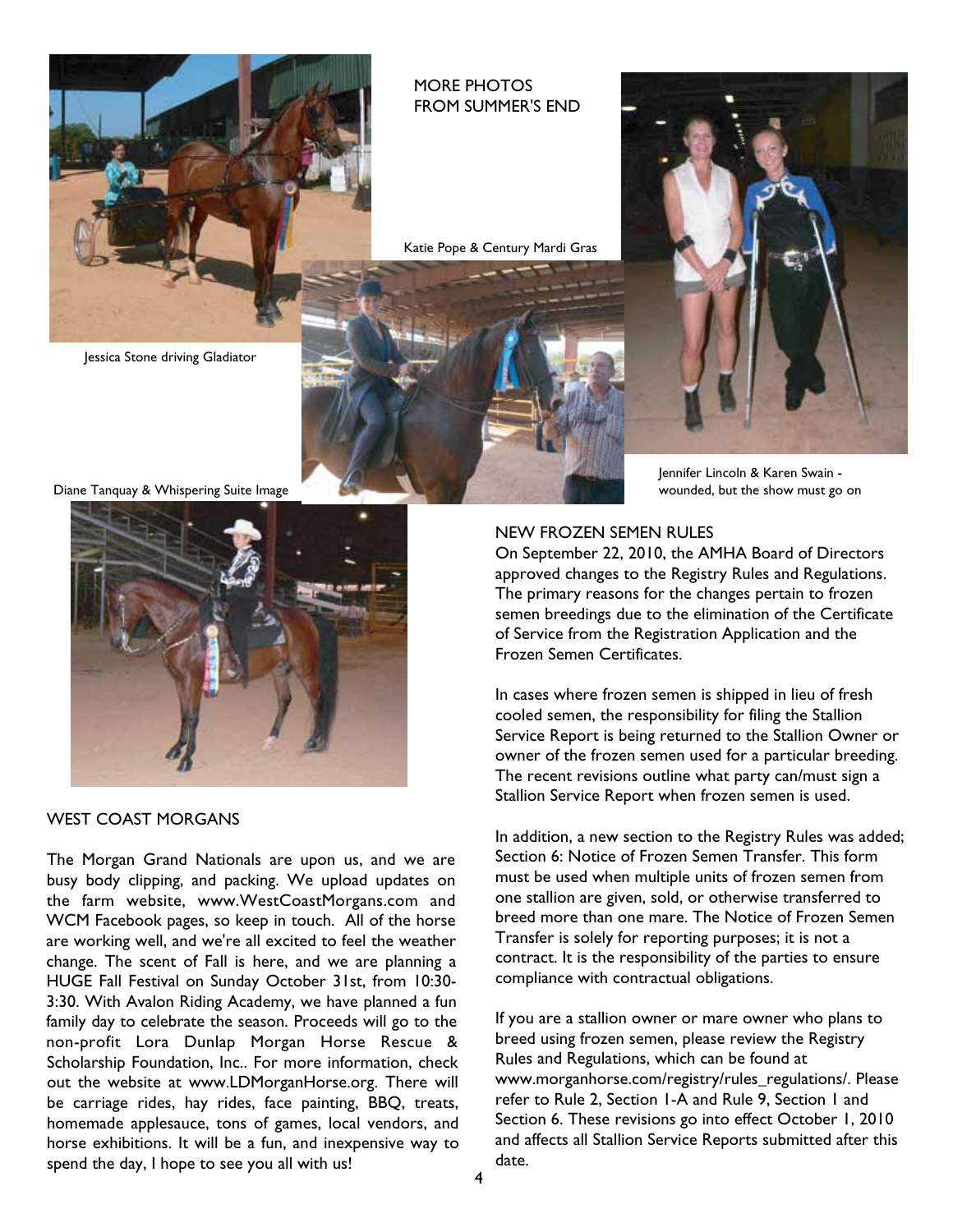

#### MORE PHOTOS FROM SUMMER'S END

Katie Pope & Century Mardi Gras

Jessica Stone driving Gladiator

Diane Tanquay & Whispering Suite Image



WEST COAST MORGANS

The Morgan Grand Nationals are upon us, and we are busy body clipping, and packing. We upload updates on the farm website, www.WestCoastMorgans.com and WCM Facebook pages, so keep in touch. All of the horse are working well, and we're all excited to feel the weather change. The scent of Fall is here, and we are planning a HUGE Fall Festival on Sunday October 31st, from 10:30- 3:30. With Avalon Riding Academy, we have planned a fun family day to celebrate the season. Proceeds will go to the non-profit Lora Dunlap Morgan Horse Rescue & Scholarship Foundation, Inc.. For more information, check out the website at www.LDMorganHorse.org. There will be carriage rides, hay rides, face painting, BBQ, treats, homemade applesauce, tons of games, local vendors, and horse exhibitions. It will be a fun, and inexpensive way to spend the day, I hope to see you all with us!

Jennifer Lincoln & Karen Swain wounded, but the show must go on

#### NEW FROZEN SEMEN RULES

On September 22, 2010, the AMHA Board of Directors approved changes to the Registry Rules and Regulations. The primary reasons for the changes pertain to frozen semen breedings due to the elimination of the Certificate of Service from the Registration Application and the Frozen Semen Certificates.

In cases where frozen semen is shipped in lieu of fresh cooled semen, the responsibility for filing the Stallion Service Report is being returned to the Stallion Owner or owner of the frozen semen used for a particular breeding. The recent revisions outline what party can/must sign a Stallion Service Report when frozen semen is used.

In addition, a new section to the Registry Rules was added; Section 6: Notice of Frozen Semen Transfer. This form must be used when multiple units of frozen semen from one stallion are given, sold, or otherwise transferred to breed more than one mare. The Notice of Frozen Semen Transfer is solely for reporting purposes; it is not a contract. It is the responsibility of the parties to ensure compliance with contractual obligations.

If you are a stallion owner or mare owner who plans to breed using frozen semen, please review the Registry Rules and Regulations, which can be found at www.morganhorse.com/registry/rules\_regulations/. Please refer to Rule 2, Section 1-A and Rule 9, Section 1 and Section 6. These revisions go into effect October 1, 2010 and affects all Stallion Service Reports submitted after this date.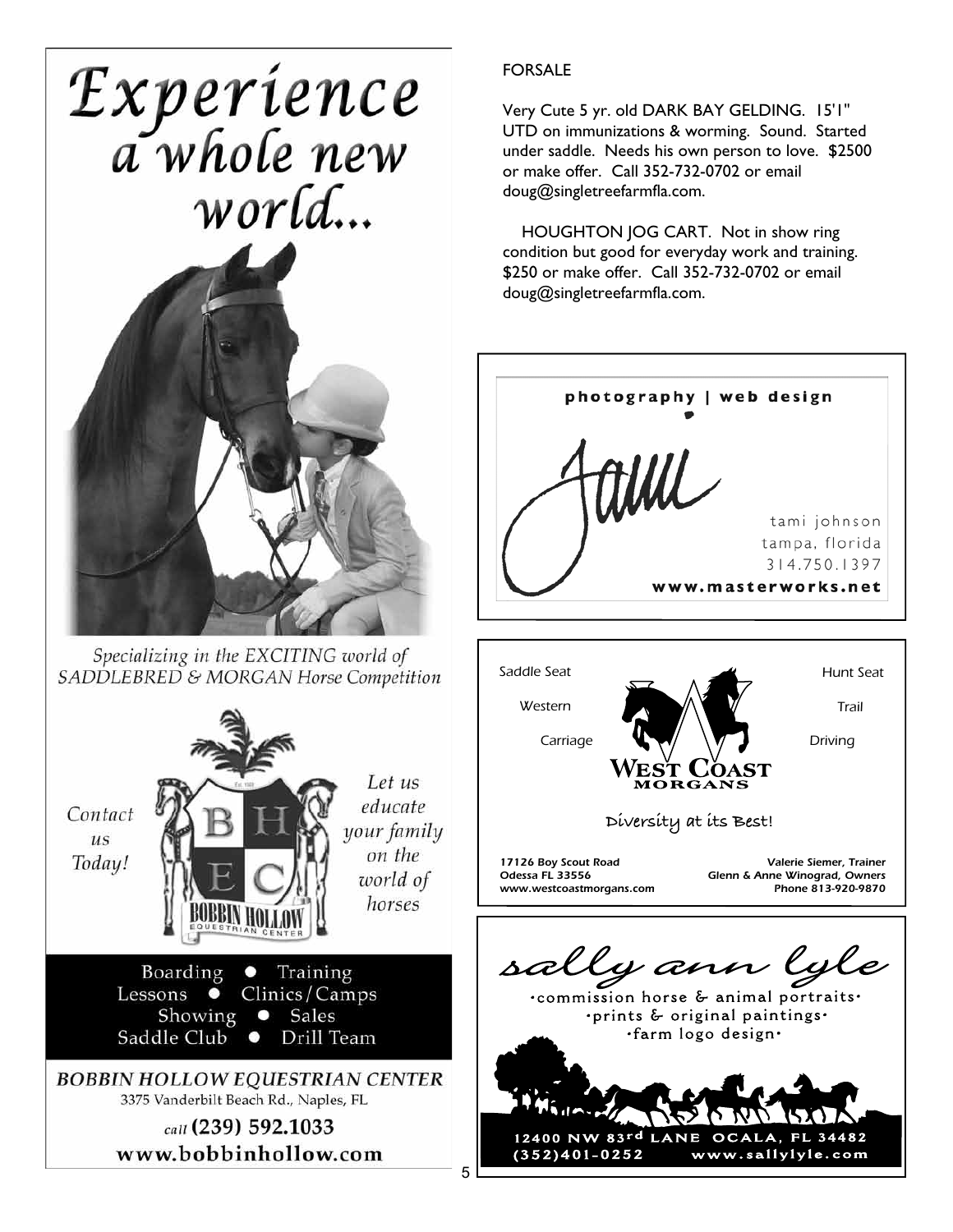Experience<br>a whole new world...



Specializing in the EXCITING world of SADDLEBRED & MORGAN Horse Competition



## FORSALE

Very Cute 5 yr. old DARK BAY GELDING. 15'1" UTD on immunizations & worming. Sound. Started under saddle. Needs his own person to love. \$2500 or make offer. Call 352-732-0702 or email doug@singletreefarmfla.com.

HOUGHTON JOG CART. Not in show ring condition but good for everyday work and training. \$250 or make offer. Call 352-732-0702 or email doug@singletreefarmfla.com.



 $\ddot{\phantom{0}}$ 5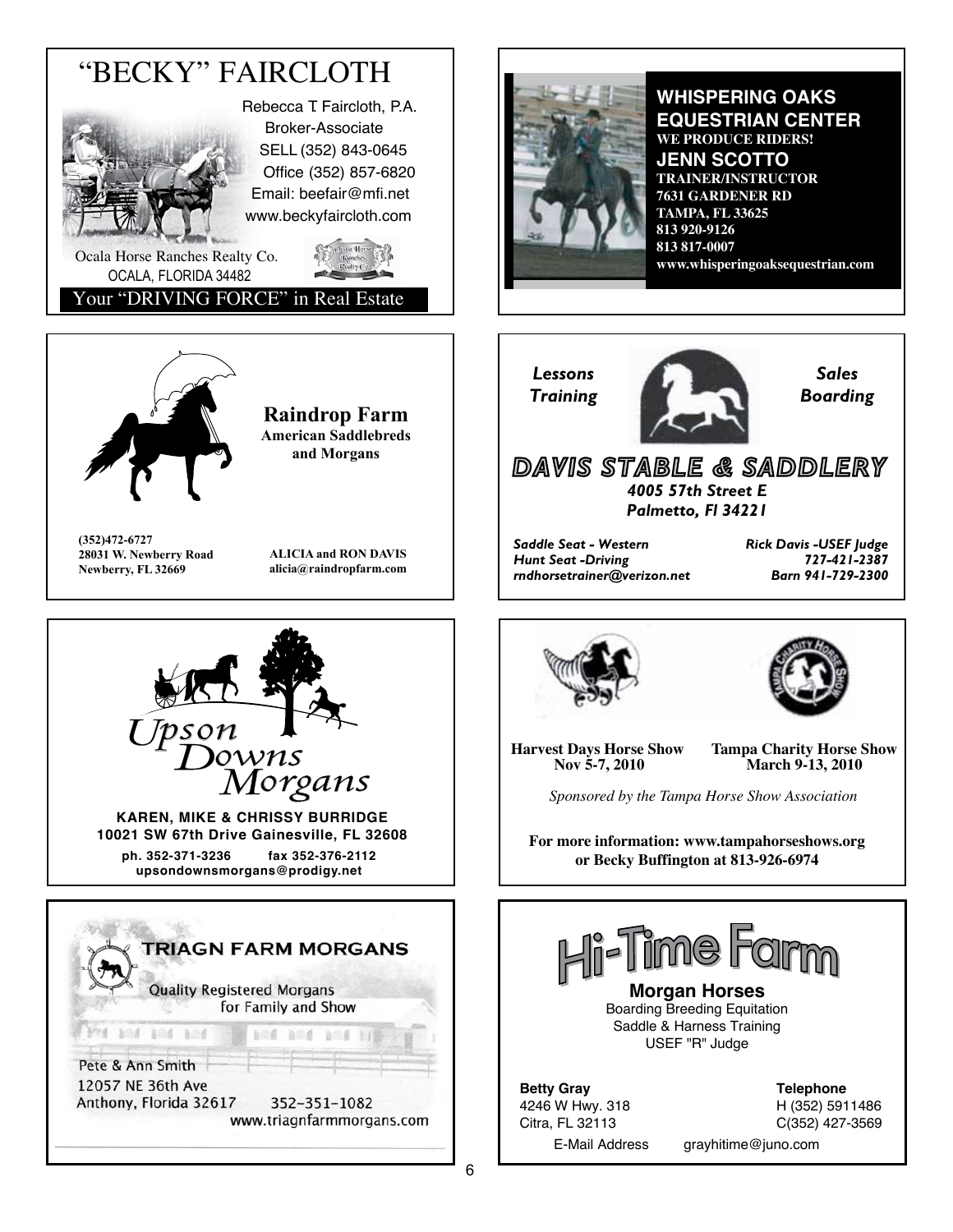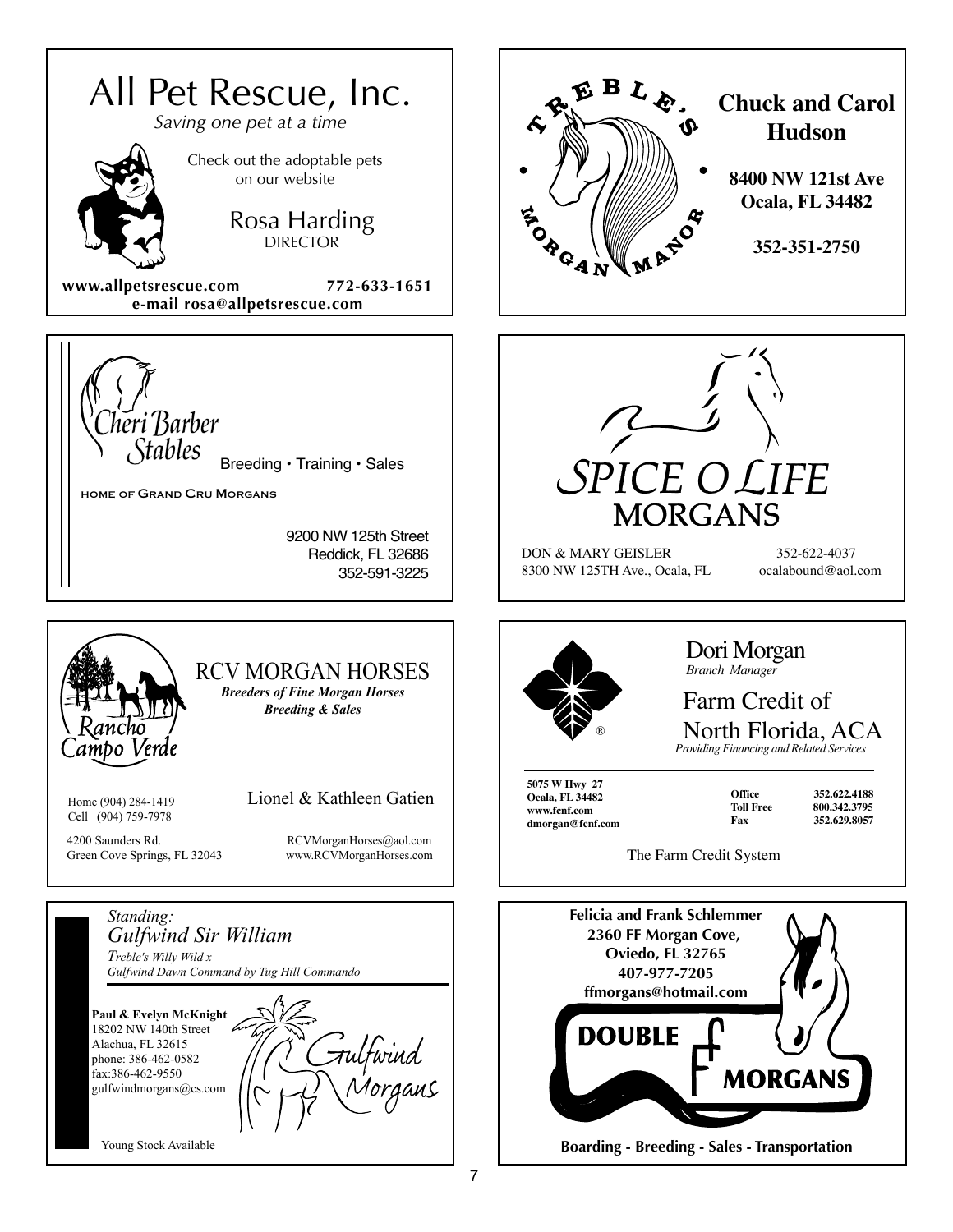